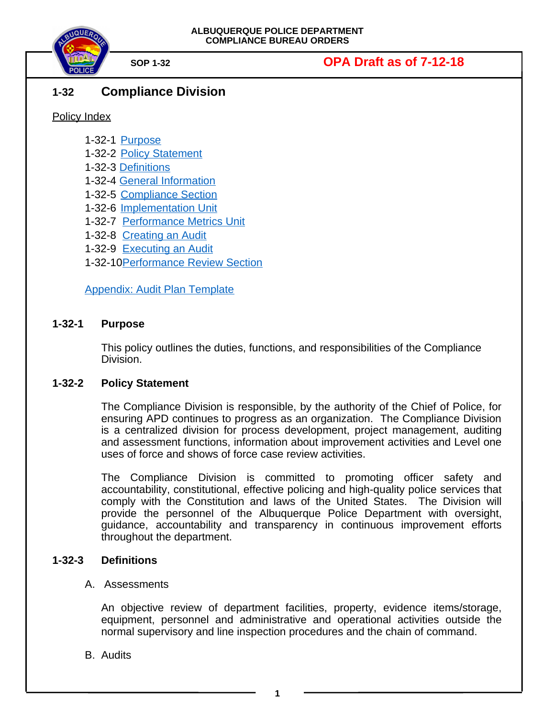

## **1-32 Compliance Division**

Policy Index

- 1-32-1 [Purpose](#page-0-0)
- 1-32-2 [Policy Statement](#page-0-2)
- 1-32-3 [Definitions](#page-0-1)
- 1-32-4 [General Information](#page-2-1)
- 1-32-5 [Compliance Section](#page-2-0)
- 1-32-6 [Implementation Unit](#page-3-0)
- 1-32-7 [Performance Metrics Unit](#page-5-0)
- 1-32-8 [Creating an Audit](#page-8-0)
- 1-32-9 [Executing an Audit](#page-8-0)
- 1-32-1[0Performance Review Section](#page-14-0)

[Appendix: Audit Plan Template](#page-11-0)

### **1-32-1 Purpose**

<span id="page-0-0"></span>This policy outlines the duties, functions, and responsibilities of the Compliance Division.

### **1-32-2 Policy Statement**

<span id="page-0-2"></span>The Compliance Division is responsible, by the authority of the Chief of Police, for ensuring APD continues to progress as an organization. The Compliance Division is a centralized division for process development, project management, auditing and assessment functions, information about improvement activities and Level one uses of force and shows of force case review activities.

The Compliance Division is committed to promoting officer safety and accountability, constitutional, effective policing and high-quality police services that comply with the Constitution and laws of the United States. The Division will provide the personnel of the Albuquerque Police Department with oversight, guidance, accountability and transparency in continuous improvement efforts throughout the department.

### **1-32-3 Definitions**

### <span id="page-0-1"></span>A. Assessments

An objective review of department facilities, property, evidence items/storage, equipment, personnel and administrative and operational activities outside the normal supervisory and line inspection procedures and the chain of command.

B. Audits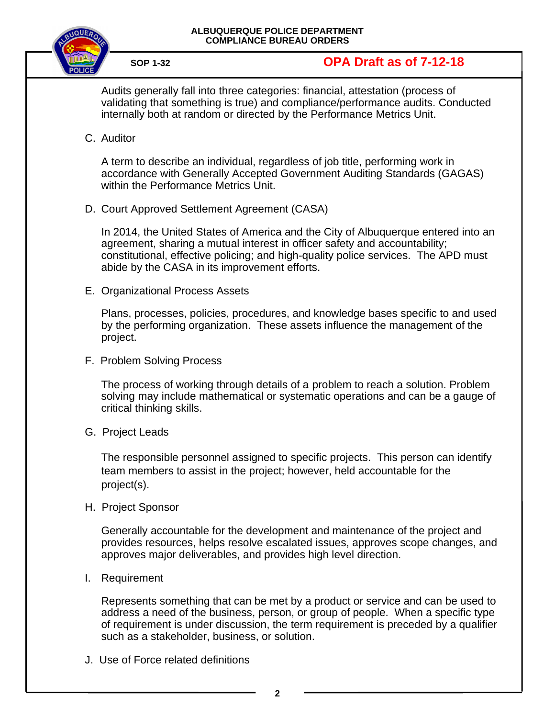

Audits generally fall into three categories: financial, attestation (process of validating that something is true) and compliance/performance audits. Conducted internally both at random or directed by the Performance Metrics Unit.

C. Auditor

A term to describe an individual, regardless of job title, performing work in accordance with Generally Accepted Government Auditing Standards (GAGAS) within the Performance Metrics Unit.

D. Court Approved Settlement Agreement (CASA)

In 2014, the United States of America and the City of Albuquerque entered into an agreement, sharing a mutual interest in officer safety and accountability; constitutional, effective policing; and high-quality police services. The APD must abide by the CASA in its improvement efforts.

E. Organizational Process Assets

Plans, processes, policies, procedures, and knowledge bases specific to and used by the performing organization. These assets influence the management of the project.

F. Problem Solving Process

The process of working through details of a problem to reach a solution. Problem solving may include mathematical or systematic operations and can be a gauge of critical thinking skills.

G. Project Leads

The responsible personnel assigned to specific projects. This person can identify team members to assist in the project; however, held accountable for the project(s).

H. Project Sponsor

Generally accountable for the development and maintenance of the project and provides resources, helps resolve escalated issues, approves scope changes, and approves major deliverables, and provides high level direction.

I. Requirement

Represents something that can be met by a product or service and can be used to address a need of the business, person, or group of people. When a specific type of requirement is under discussion, the term requirement is preceded by a qualifier such as a stakeholder, business, or solution.

J. Use of Force related definitions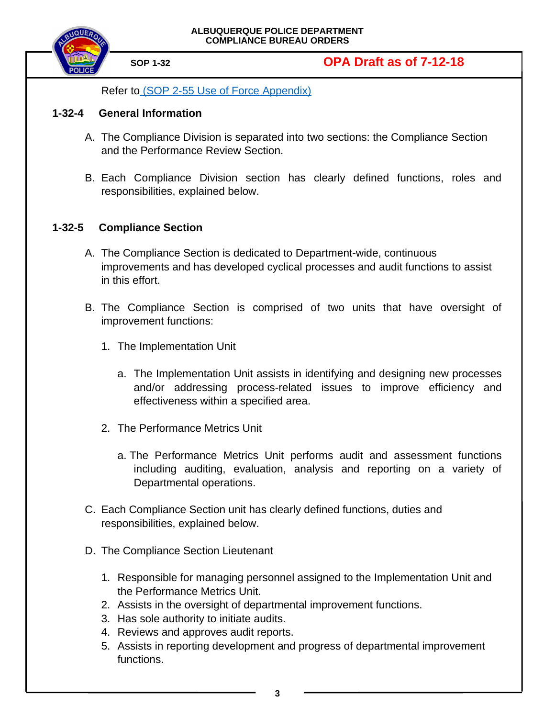



<span id="page-2-1"></span>Refer t[o \(SOP 2-55 Use of Force Appendix\)](https://powerdms.com/docs/755516?q=2-55)

### **1-32-4 General Information**

- A. The Compliance Division is separated into two sections: the Compliance Section and the Performance Review Section.
- B. Each Compliance Division section has clearly defined functions, roles and responsibilities, explained below.

#### **1-32-5 Compliance Section**

- <span id="page-2-0"></span>A. The Compliance Section is dedicated to Department-wide, continuous improvements and has developed cyclical processes and audit functions to assist in this effort.
- B. The Compliance Section is comprised of two units that have oversight of improvement functions:
	- 1. The Implementation Unit
		- a. The Implementation Unit assists in identifying and designing new processes and/or addressing process-related issues to improve efficiency and effectiveness within a specified area.
	- 2. The Performance Metrics Unit
		- a. The Performance Metrics Unit performs audit and assessment functions including auditing, evaluation, analysis and reporting on a variety of Departmental operations.
- C. Each Compliance Section unit has clearly defined functions, duties and responsibilities, explained below.
- D. The Compliance Section Lieutenant
	- 1. Responsible for managing personnel assigned to the Implementation Unit and the Performance Metrics Unit.
	- 2. Assists in the oversight of departmental improvement functions.
	- 3. Has sole authority to initiate audits.
	- 4. Reviews and approves audit reports.
	- 5. Assists in reporting development and progress of departmental improvement functions.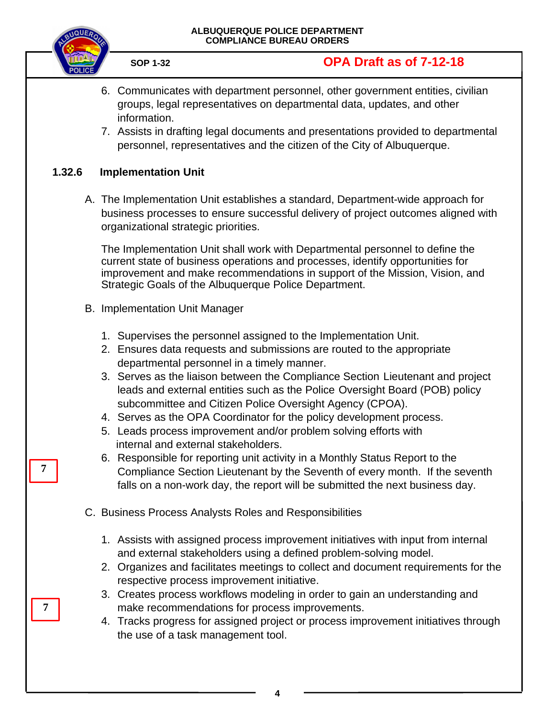

- 6. Communicates with department personnel, other government entities, civilian groups, legal representatives on departmental data, updates, and other information.
- 7. Assists in drafting legal documents and presentations provided to departmental personnel, representatives and the citizen of the City of Albuquerque.

### **1.32.6 Implementation Unit**

<span id="page-3-0"></span>A. The Implementation Unit establishes a standard, Department-wide approach for business processes to ensure successful delivery of project outcomes aligned with organizational strategic priorities.

The Implementation Unit shall work with Departmental personnel to define the current state of business operations and processes, identify opportunities for improvement and make recommendations in support of the Mission, Vision, and Strategic Goals of the Albuquerque Police Department.

- B. Implementation Unit Manager
	- 1. Supervises the personnel assigned to the Implementation Unit.
	- 2. Ensures data requests and submissions are routed to the appropriate departmental personnel in a timely manner.
	- 3. Serves as the liaison between the Compliance Section Lieutenant and project leads and external entities such as the Police Oversight Board (POB) policy subcommittee and Citizen Police Oversight Agency (CPOA).
	- 4. Serves as the OPA Coordinator for the policy development process.
	- 5. Leads process improvement and/or problem solving efforts with internal and external stakeholders.
	- 6. Responsible for reporting unit activity in a Monthly Status Report to the Compliance Section Lieutenant by the Seventh of every month. If the seventh falls on a non-work day, the report will be submitted the next business day.
- C. Business Process Analysts Roles and Responsibilities
	- 1. Assists with assigned process improvement initiatives with input from internal and external stakeholders using a defined problem-solving model.
	- 2. Organizes and facilitates meetings to collect and document requirements for the respective process improvement initiative.
	- 3. Creates process workflows modeling in order to gain an understanding and make recommendations for process improvements.
	- 4. Tracks progress for assigned project or process improvement initiatives through the use of a task management tool.

**7**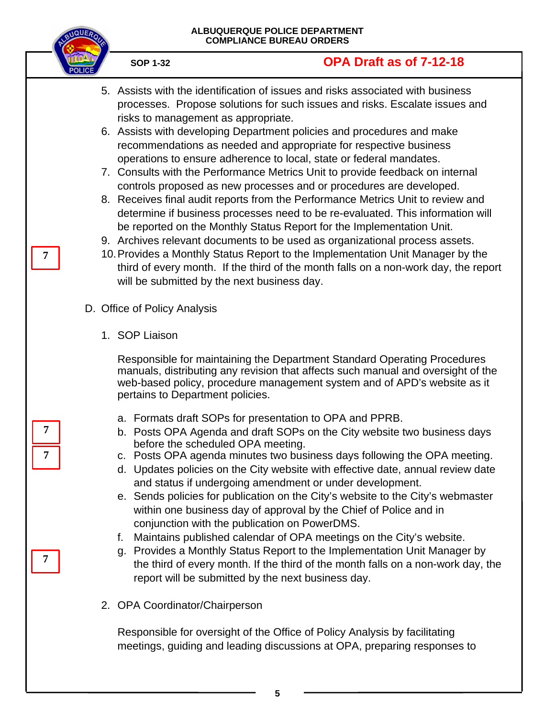- 5. Assists with the identification of issues and risks associated with business processes. Propose solutions for such issues and risks. Escalate issues and risks to management as appropriate.
- 6. Assists with developing Department policies and procedures and make recommendations as needed and appropriate for respective business operations to ensure adherence to local, state or federal mandates.
- 7. Consults with the Performance Metrics Unit to provide feedback on internal controls proposed as new processes and or procedures are developed.
- 8. Receives final audit reports from the Performance Metrics Unit to review and determine if business processes need to be re-evaluated. This information will be reported on the Monthly Status Report for the Implementation Unit.
- 9. Archives relevant documents to be used as organizational process assets.
- 10.Provides a Monthly Status Report to the Implementation Unit Manager by the third of every month. If the third of the month falls on a non-work day, the report will be submitted by the next business day.
- D. Office of Policy Analysis
	- 1. SOP Liaison

Responsible for maintaining the Department Standard Operating Procedures manuals, distributing any revision that affects such manual and oversight of the web-based policy, procedure management system and of APD's website as it pertains to Department policies.

- a. Formats draft SOPs for presentation to OPA and PPRB.
- b. Posts OPA Agenda and draft SOPs on the City website two business days before the scheduled OPA meeting.
- c. Posts OPA agenda minutes two business days following the OPA meeting.
- d. Updates policies on the City website with effective date, annual review date and status if undergoing amendment or under development.

e. Sends policies for publication on the City's website to the City's webmaster within one business day of approval by the Chief of Police and in conjunction with the publication on PowerDMS.

- f. Maintains published calendar of OPA meetings on the City's website.
- g. Provides a Monthly Status Report to the Implementation Unit Manager by the third of every month. If the third of the month falls on a non-work day, the report will be submitted by the next business day.
- 2. OPA Coordinator/Chairperson

Responsible for oversight of the Office of Policy Analysis by facilitating meetings, guiding and leading discussions at OPA, preparing responses to

**7 7**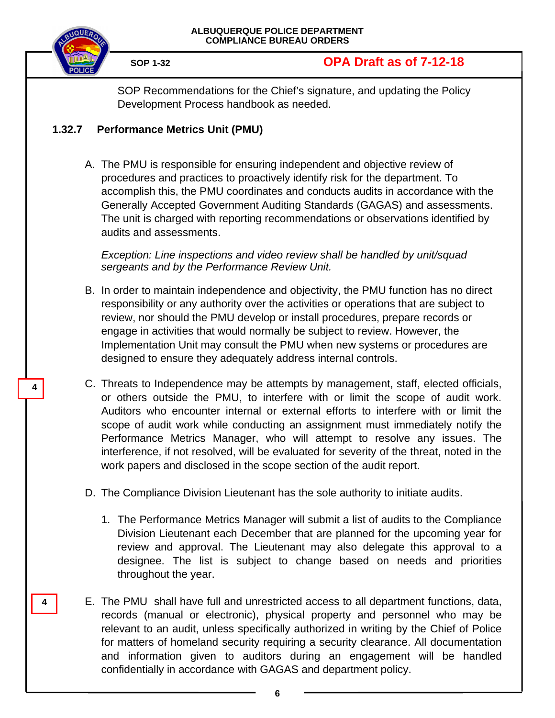

**4**

**4**

# **SOP 1-32 OPA Draft as of 7-12-18**

SOP Recommendations for the Chief's signature, and updating the Policy Development Process handbook as needed.

## **1.32.7 Performance Metrics Unit (PMU)**

<span id="page-5-0"></span>A. The PMU is responsible for ensuring independent and objective review of procedures and practices to proactively identify risk for the department. To accomplish this, the PMU coordinates and conducts audits in accordance with the Generally Accepted Government Auditing Standards (GAGAS) and assessments. The unit is charged with reporting recommendations or observations identified by audits and assessments.

*Exception: Line inspections and video review shall be handled by unit/squad sergeants and by the Performance Review Unit.*

- B. In order to maintain independence and objectivity, the PMU function has no direct responsibility or any authority over the activities or operations that are subject to review, nor should the PMU develop or install procedures, prepare records or engage in activities that would normally be subject to review. However, the Implementation Unit may consult the PMU when new systems or procedures are designed to ensure they adequately address internal controls.
- C. Threats to Independence may be attempts by management, staff, elected officials, or others outside the PMU, to interfere with or limit the scope of audit work. Auditors who encounter internal or external efforts to interfere with or limit the scope of audit work while conducting an assignment must immediately notify the Performance Metrics Manager, who will attempt to resolve any issues. The interference, if not resolved, will be evaluated for severity of the threat, noted in the work papers and disclosed in the scope section of the audit report.
- D. The Compliance Division Lieutenant has the sole authority to initiate audits.
	- 1. The Performance Metrics Manager will submit a list of audits to the Compliance Division Lieutenant each December that are planned for the upcoming year for review and approval. The Lieutenant may also delegate this approval to a designee. The list is subject to change based on needs and priorities throughout the year.
- E. The PMU shall have full and unrestricted access to all department functions, data, records (manual or electronic), physical property and personnel who may be relevant to an audit, unless specifically authorized in writing by the Chief of Police for matters of homeland security requiring a security clearance. All documentation and information given to auditors during an engagement will be handled confidentially in accordance with GAGAS and department policy.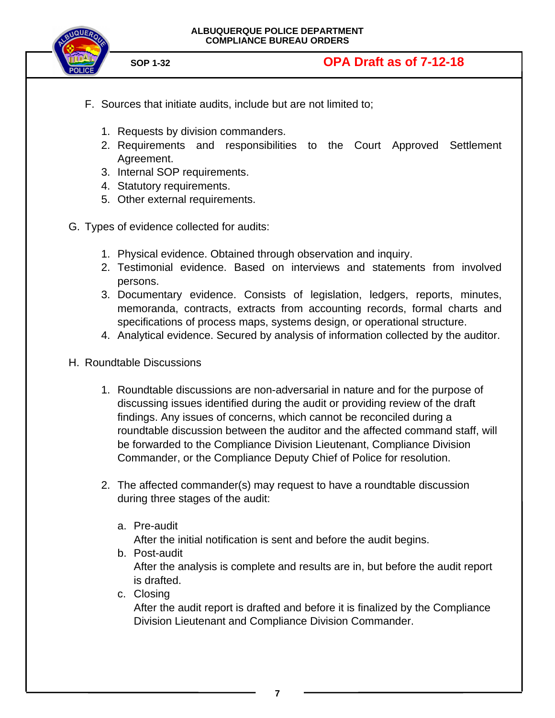

- F. Sources that initiate audits, include but are not limited to;
	- 1. Requests by division commanders.
	- 2. Requirements and responsibilities to the Court Approved Settlement Agreement.
	- 3. Internal SOP requirements.
	- 4. Statutory requirements.
	- 5. Other external requirements.
- G. Types of evidence collected for audits:
	- 1. Physical evidence. Obtained through observation and inquiry.
	- 2. Testimonial evidence. Based on interviews and statements from involved persons.
	- 3. Documentary evidence. Consists of legislation, ledgers, reports, minutes, memoranda, contracts, extracts from accounting records, formal charts and specifications of process maps, systems design, or operational structure.
	- 4. Analytical evidence. Secured by analysis of information collected by the auditor.
- H. Roundtable Discussions
	- 1. Roundtable discussions are non-adversarial in nature and for the purpose of discussing issues identified during the audit or providing review of the draft findings. Any issues of concerns, which cannot be reconciled during a roundtable discussion between the auditor and the affected command staff, will be forwarded to the Compliance Division Lieutenant, Compliance Division Commander, or the Compliance Deputy Chief of Police for resolution.
	- 2. The affected commander(s) may request to have a roundtable discussion during three stages of the audit:
		- a. Pre-audit

After the initial notification is sent and before the audit begins.

- b. Post-audit After the analysis is complete and results are in, but before the audit report is drafted.
- c. Closing

After the audit report is drafted and before it is finalized by the Compliance Division Lieutenant and Compliance Division Commander.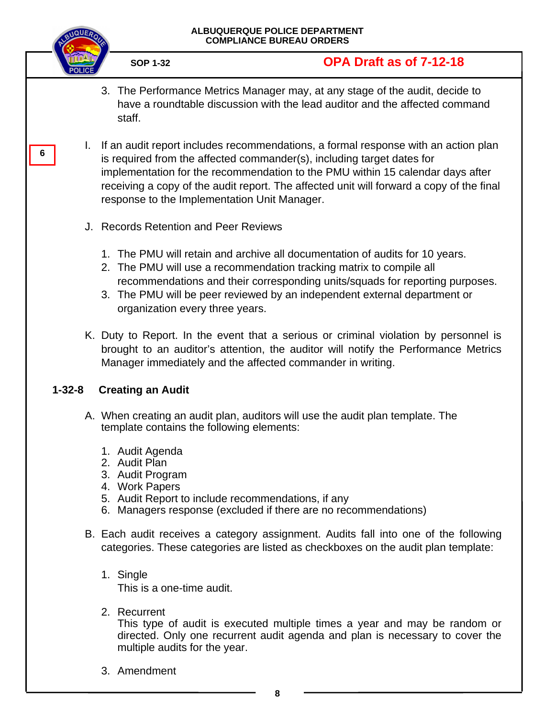

**6**

**SOP 1-32 OPA Draft as of 7-12-18**

- 3. The Performance Metrics Manager may, at any stage of the audit, decide to have a roundtable discussion with the lead auditor and the affected command staff.
- I. If an audit report includes recommendations, a formal response with an action plan is required from the affected commander(s), including target dates for implementation for the recommendation to the PMU within 15 calendar days after receiving a copy of the audit report. The affected unit will forward a copy of the final response to the Implementation Unit Manager.
- J. Records Retention and Peer Reviews
	- 1. The PMU will retain and archive all documentation of audits for 10 years.
	- 2. The PMU will use a recommendation tracking matrix to compile all recommendations and their corresponding units/squads for reporting purposes.
	- 3. The PMU will be peer reviewed by an independent external department or organization every three years.
- K. Duty to Report. In the event that a serious or criminal violation by personnel is brought to an auditor's attention, the auditor will notify the Performance Metrics Manager immediately and the affected commander in writing.

## **1-32-8 Creating an Audit**

- A. When creating an audit plan, auditors will use the audit plan template. The template contains the following elements:
	- 1. Audit Agenda
	- 2. Audit Plan
	- 3. Audit Program
	- 4. Work Papers
	- 5. Audit Report to include recommendations, if any
	- 6. Managers response (excluded if there are no recommendations)
- B. Each audit receives a category assignment. Audits fall into one of the following categories. These categories are listed as checkboxes on the audit plan template:
	- 1. Single This is a one-time audit.
	- 2. Recurrent

This type of audit is executed multiple times a year and may be random or directed. Only one recurrent audit agenda and plan is necessary to cover the multiple audits for the year.

3. Amendment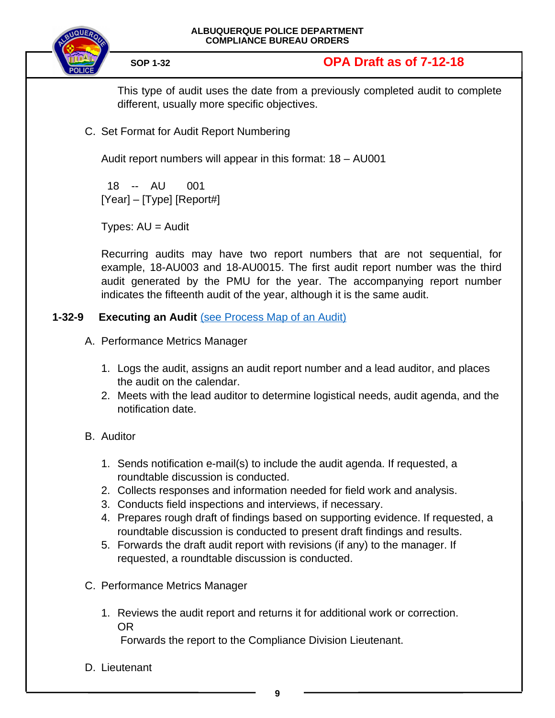

This type of audit uses the date from a previously completed audit to complete different, usually more specific objectives.

C. Set Format for Audit Report Numbering

Audit report numbers will appear in this format: 18 – AU001

 18 -- AU 001  $[Year] - [Type]$   $[Report#]$ 

Types:  $AU =$  Audit

Recurring audits may have two report numbers that are not sequential, for example, 18-AU003 and 18-AU0015. The first audit report number was the third audit generated by the PMU for the year. The accompanying report number indicates the fifteenth audit of the year, although it is the same audit.

## **1-32-9 Executing an Audit** [\(see Process Map of an Audit\)](#page-10-0)

- <span id="page-8-0"></span>A. Performance Metrics Manager
	- 1. Logs the audit, assigns an audit report number and a lead auditor, and places the audit on the calendar.
	- 2. Meets with the lead auditor to determine logistical needs, audit agenda, and the notification date.

## B. Auditor

- 1. Sends notification e-mail(s) to include the audit agenda. If requested, a roundtable discussion is conducted.
- 2. Collects responses and information needed for field work and analysis.
- 3. Conducts field inspections and interviews, if necessary.
- 4. Prepares rough draft of findings based on supporting evidence. If requested, a roundtable discussion is conducted to present draft findings and results.
- 5. Forwards the draft audit report with revisions (if any) to the manager. If requested, a roundtable discussion is conducted.
- C. Performance Metrics Manager
	- 1. Reviews the audit report and returns it for additional work or correction. OR

Forwards the report to the Compliance Division Lieutenant.

D. Lieutenant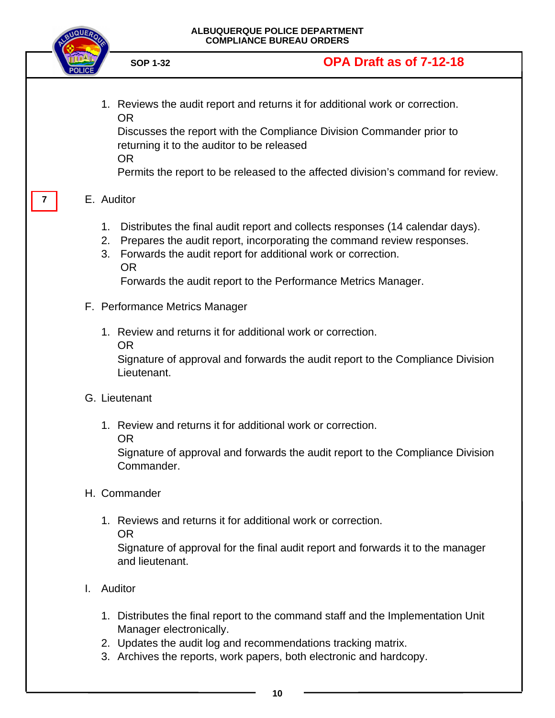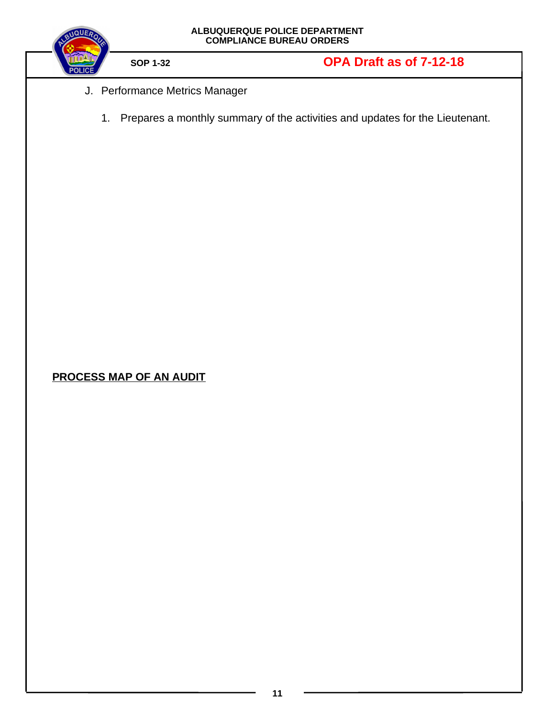<span id="page-10-0"></span>

| ALBUQUERQUE POLICE DEPARTMENT<br>COMPLIANCE BUREAU ORDERS |                                |                                                                                 |  |
|-----------------------------------------------------------|--------------------------------|---------------------------------------------------------------------------------|--|
|                                                           | <b>SOP 1-32</b>                | OPA Draft as of 7-12-18                                                         |  |
|                                                           | J. Performance Metrics Manager |                                                                                 |  |
|                                                           |                                | 1. Prepares a monthly summary of the activities and updates for the Lieutenant. |  |
|                                                           |                                |                                                                                 |  |
|                                                           |                                |                                                                                 |  |
|                                                           |                                |                                                                                 |  |
|                                                           |                                |                                                                                 |  |
|                                                           |                                |                                                                                 |  |
|                                                           |                                |                                                                                 |  |
|                                                           |                                |                                                                                 |  |
|                                                           |                                |                                                                                 |  |
|                                                           |                                |                                                                                 |  |
| <b>PROCESS MAP OF AN AUDIT</b>                            |                                |                                                                                 |  |
|                                                           |                                |                                                                                 |  |
|                                                           |                                |                                                                                 |  |
|                                                           |                                |                                                                                 |  |
|                                                           |                                |                                                                                 |  |
|                                                           |                                |                                                                                 |  |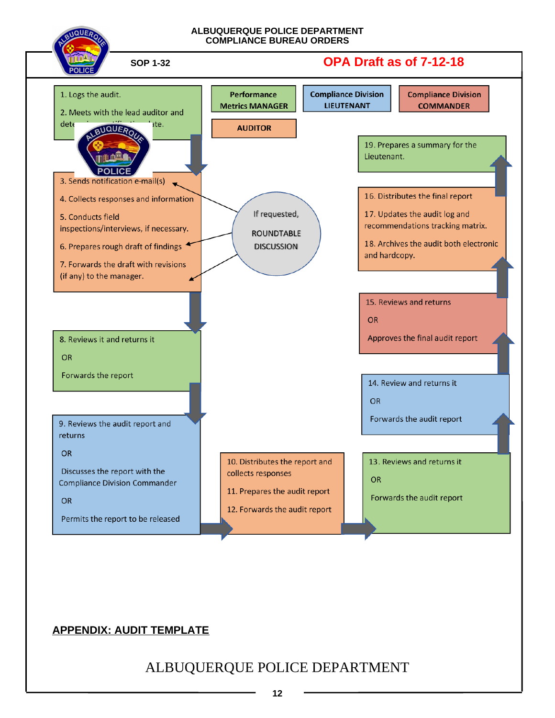

## <span id="page-11-0"></span>**APPENDIX: AUDIT TEMPLATE**

ALBUQUERQUE POLICE DEPARTMENT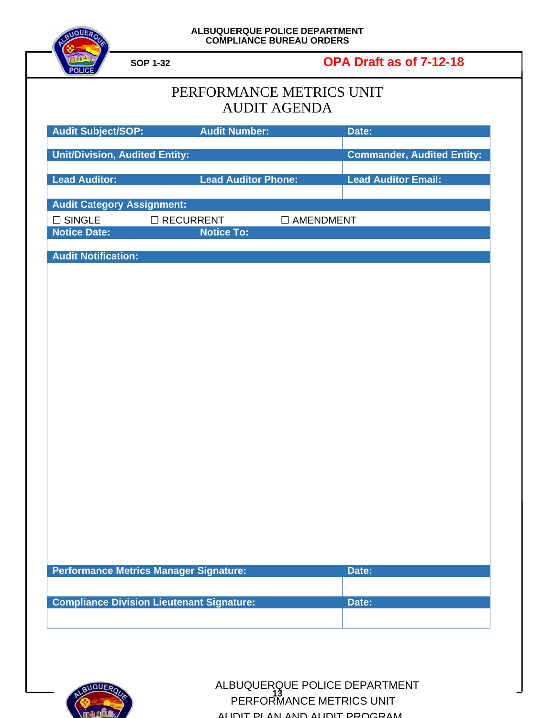

**SOP 1-32 OPA Draft as of 7-12-18**

| PERFORMANCE METRICS UNIT |
|--------------------------|
| AUDIT AGENDA             |

| <b>Audit Subject/SOP:</b>                        | <b>Audit Number:</b>            | Date:                             |
|--------------------------------------------------|---------------------------------|-----------------------------------|
| <b>Unit/Division, Audited Entity:</b>            |                                 | <b>Commander, Audited Entity:</b> |
| <b>Lead Auditor:</b>                             | <b>Lead Auditor Phone:</b>      | <b>Lead Auditor Email:</b>        |
| <b>Audit Category Assignment:</b>                |                                 |                                   |
| $\square$ SINGLE                                 | □ RECURRENT<br>$\Box$ AMENDMENT |                                   |
| <b>Notice Date:</b>                              | <b>Notice To:</b>               |                                   |
| <b>Audit Notification:</b>                       |                                 |                                   |
|                                                  |                                 |                                   |
|                                                  |                                 |                                   |
|                                                  |                                 |                                   |
|                                                  |                                 |                                   |
|                                                  |                                 |                                   |
|                                                  |                                 |                                   |
|                                                  |                                 |                                   |
|                                                  |                                 |                                   |
|                                                  |                                 |                                   |
|                                                  |                                 |                                   |
|                                                  |                                 |                                   |
|                                                  |                                 |                                   |
|                                                  |                                 |                                   |
|                                                  |                                 |                                   |
|                                                  |                                 |                                   |
|                                                  |                                 |                                   |
|                                                  |                                 |                                   |
| Performance Metrics Manager Signature:           |                                 | Date:                             |
| <b>Compliance Division Lieutenant Signature:</b> |                                 | Date:                             |
|                                                  |                                 |                                   |
|                                                  |                                 |                                   |



**QUERQ** ALBUQUERQUE POLICE DEPARTMENT **PERFORMANCE METRICS UNIT** AUDIT PLAN AND AUDIT PROCRAM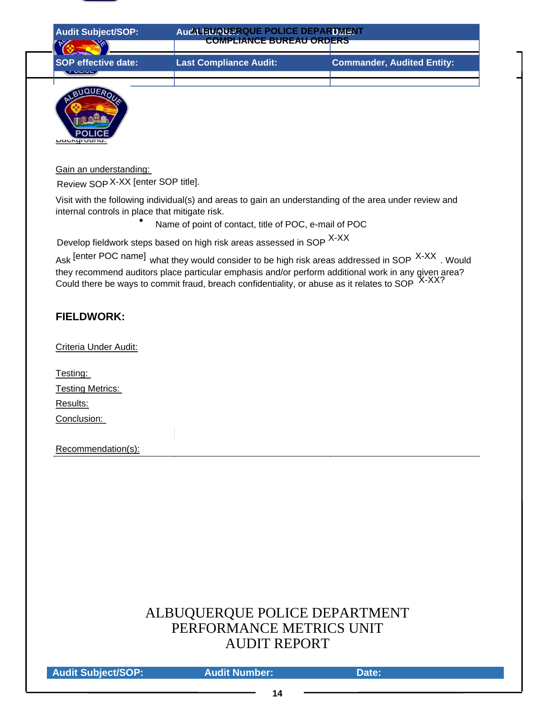

| <b>Audit Subject/SOP:</b>                    | AucALBUQUERQUE POLICE DEPARTMENT<br><b>COMPLIANCE BUREAU ORDERS</b> |                                   |
|----------------------------------------------|---------------------------------------------------------------------|-----------------------------------|
| <b>SOP effective date:</b><br><b>TULIVE</b>  | <b>Last Compliance Audit:</b>                                       | <b>Commander, Audited Entity:</b> |
| <b>AUER</b><br><b>POLICE</b><br>Daungruuriu. |                                                                     |                                   |
| Gain an understanding:                       |                                                                     |                                   |

Review SOP X-XX [enter SOP title].

 $\bullet$ 

Visit with the following individual(s) and areas to gain an understanding of the area under review and internal controls in place that mitigate risk.

Name of point of contact, title of POC, e-mail of POC

Develop fieldwork steps based on high risk areas assessed in SOP <sup>X-XX</sup>

Ask [enter POC name] what they would consider to be high risk areas addressed in SOP X-XX. Would they recommend auditors place particular emphasis and/or perform additional work in any given area? Could there be ways to commit fraud, breach confidentiality, or abuse as it relates to SOP  $X\rightarrow X$ 

### **FIELDWORK:**

Criteria Under Audit:

| Testing:         |
|------------------|
| Testing Metrics: |
| Results:         |
| Conclusion:      |

Recommendation(s):

# ALBUQUERQUE POLICE DEPARTMENT PERFORMANCE METRICS UNIT AUDIT REPORT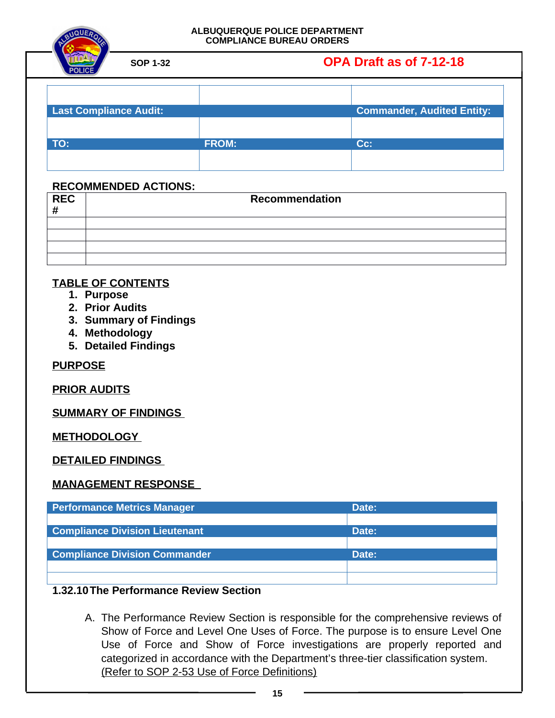# **SOP 1-32 OPA Draft as of 7-12-18**

| <b>Last Compliance Audit:</b> |              | <b>Commander, Audited Entity:</b> |
|-------------------------------|--------------|-----------------------------------|
|                               |              |                                   |
| TO:                           | <b>FROM:</b> | $Cc$ :                            |
|                               |              |                                   |

### **RECOMMENDED ACTIONS:**

| <b>REC</b><br># | Recommendation |
|-----------------|----------------|
|                 |                |
|                 |                |
|                 |                |
|                 |                |

### **TABLE OF CONTENTS**

- **1. Purpose**
- **2. Prior Audits**
- **3. Summary of Findings**
- **4. Methodology**
- **5. Detailed Findings**

**PURPOSE**

**PRIOR AUDITS**

**SUMMARY OF FINDINGS** 

**METHODOLOGY** 

**DETAILED FINDINGS** 

**MANAGEMENT RESPONSE** 

| <b>Performance Metrics Manager</b>    | Date: |
|---------------------------------------|-------|
|                                       |       |
| <b>Compliance Division Lieutenant</b> | Date: |
|                                       |       |
| <b>Compliance Division Commander</b>  | Date: |
|                                       |       |
|                                       |       |

### **1.32.10The Performance Review Section**

<span id="page-14-0"></span>A. The Performance Review Section is responsible for the comprehensive reviews of Show of Force and Level One Uses of Force. The purpose is to ensure Level One Use of Force and Show of Force investigations are properly reported and categorized in accordance with the Department's three-tier classification system. (Refer to SOP 2-53 Use of Force Definitions)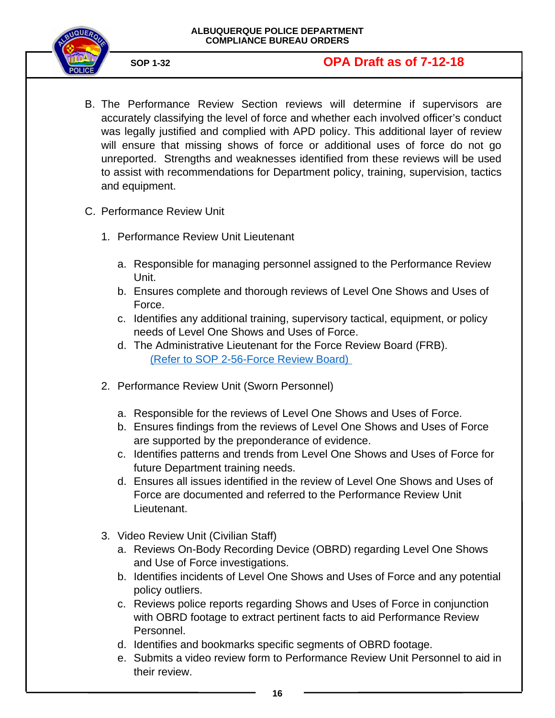

- B. The Performance Review Section reviews will determine if supervisors are accurately classifying the level of force and whether each involved officer's conduct was legally justified and complied with APD policy. This additional layer of review will ensure that missing shows of force or additional uses of force do not go unreported. Strengths and weaknesses identified from these reviews will be used to assist with recommendations for Department policy, training, supervision, tactics and equipment.
- C. Performance Review Unit
	- 1. Performance Review Unit Lieutenant
		- a. Responsible for managing personnel assigned to the Performance Review Unit.
		- b. Ensures complete and thorough reviews of Level One Shows and Uses of Force.
		- c. Identifies any additional training, supervisory tactical, equipment, or policy needs of Level One Shows and Uses of Force.
		- d. The Administrative Lieutenant for the Force Review Board (FRB). [\(Refer to SOP 2-56-Force Review Board\)](https://powerdms.com/docs/208?q=2-56)
	- 2. Performance Review Unit (Sworn Personnel)
		- a. Responsible for the reviews of Level One Shows and Uses of Force.
		- b. Ensures findings from the reviews of Level One Shows and Uses of Force are supported by the preponderance of evidence.
		- c. Identifies patterns and trends from Level One Shows and Uses of Force for future Department training needs.
		- d. Ensures all issues identified in the review of Level One Shows and Uses of Force are documented and referred to the Performance Review Unit Lieutenant.
	- 3. Video Review Unit (Civilian Staff)
		- a. Reviews On-Body Recording Device (OBRD) regarding Level One Shows and Use of Force investigations.
		- b. Identifies incidents of Level One Shows and Uses of Force and any potential policy outliers.
		- c. Reviews police reports regarding Shows and Uses of Force in conjunction with OBRD footage to extract pertinent facts to aid Performance Review Personnel.
		- d. Identifies and bookmarks specific segments of OBRD footage.
		- e. Submits a video review form to Performance Review Unit Personnel to aid in their review.